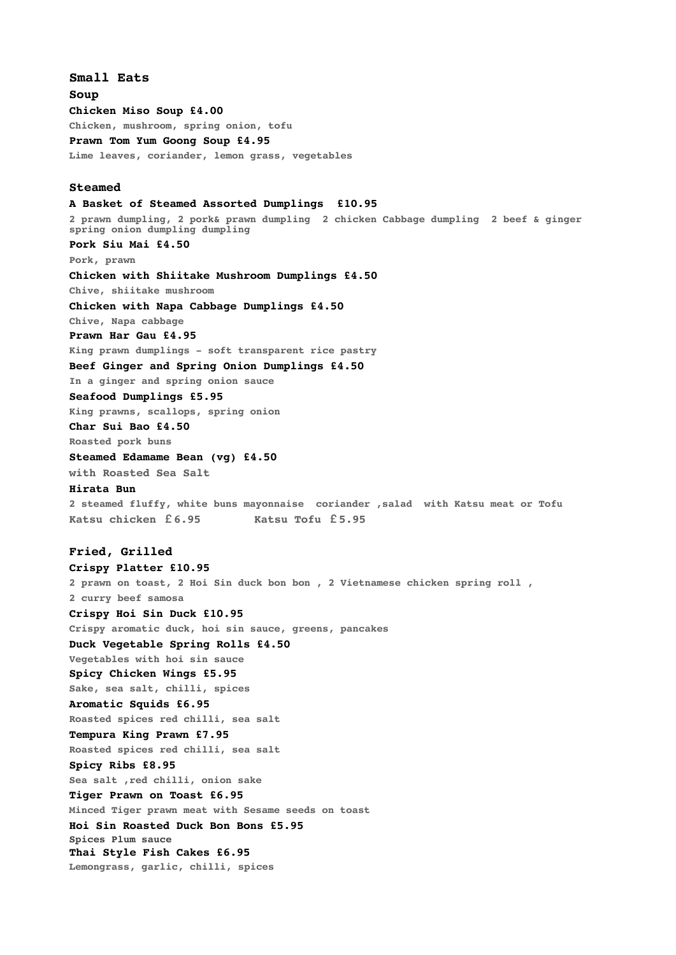**Small Eats Soup Chicken Miso Soup £4.00 Chicken, mushroom, spring onion, tofu Prawn Tom Yum Goong Soup £4.95 Lime leaves, coriander, lemon grass, vegetables Steamed A Basket of Steamed Assorted Dumplings £10.95 2 prawn dumpling, 2 pork& prawn dumpling 2 chicken Cabbage dumpling 2 beef & ginger spring onion dumpling dumpling Pork Siu Mai £4.50 Pork, prawn Chicken with Shiitake Mushroom Dumplings £4.50 Chive, shiitake mushroom Chicken with Napa Cabbage Dumplings £4.50 Chive, Napa cabbage Prawn Har Gau £4.95 King prawn dumplings - soft transparent rice pastry Beef Ginger and Spring Onion Dumplings £4.50 In a ginger and spring onion sauce Seafood Dumplings £5.95 King prawns, scallops, spring onion Char Sui Bao £4.50 Roasted pork buns Steamed Edamame Bean (vg) £4.50 with Roasted Sea Salt Hirata Bun 2 steamed fluffy, white buns mayonnaise coriander ,salad with Katsu meat or Tofu Katsu chicken £6.95 Katsu Tofu £5.95 Fried, Grilled Crispy Platter £10.95 2 prawn on toast, 2 Hoi Sin duck bon bon , 2 Vietnamese chicken spring roll , 2 curry beef samosa Crispy Hoi Sin Duck £10.95 Crispy aromatic duck, hoi sin sauce, greens, pancakes Duck Vegetable Spring Rolls £4.50 Vegetables with hoi sin sauce Spicy Chicken Wings £5.95 Sake, sea salt, chilli, spices Aromatic Squids £6.95 Roasted spices red chilli, sea salt Tempura King Prawn £7.95 Roasted spices red chilli, sea salt Spicy Ribs £8.95 Sea salt ,red chilli, onion sake Tiger Prawn on Toast £6.95 Minced Tiger prawn meat with Sesame seeds on toast Hoi Sin Roasted Duck Bon Bons £5.95 Spices Plum sauce Thai Style Fish Cakes £6.95 Lemongrass, garlic, chilli, spices**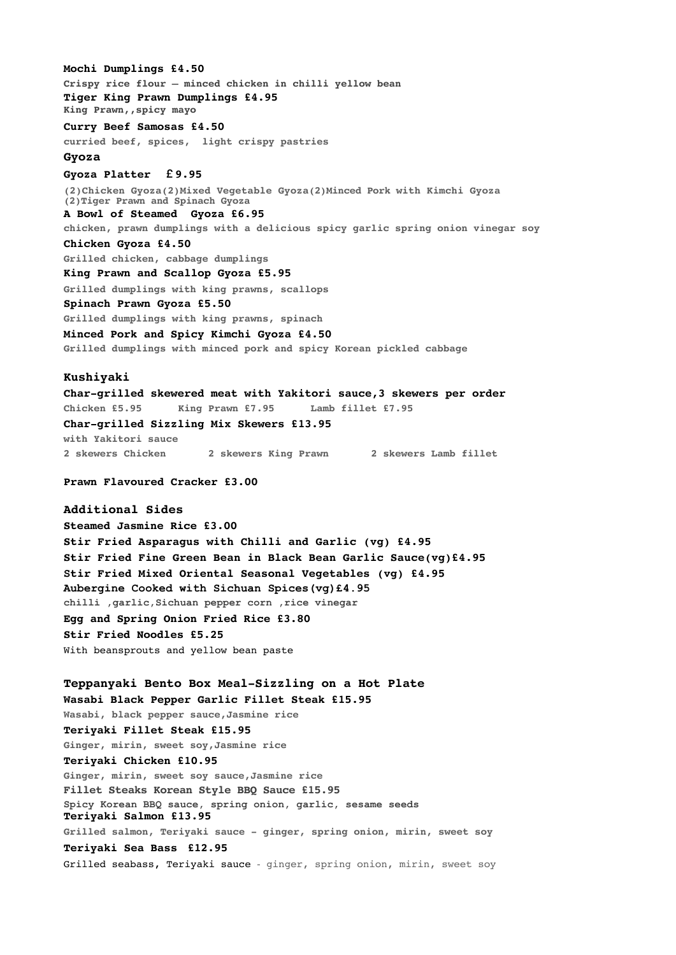**Mochi Dumplings £4.50 Crispy rice flour – minced chicken in chilli yellow bean Tiger King Prawn Dumplings £4.95 King Prawn,,spicy mayo Curry Beef Samosas £4.50 curried beef, spices, light crispy pastries Gyoza Gyoza Platter £9.95 (2)Chicken Gyoza(2)Mixed Vegetable Gyoza(2)Minced Pork with Kimchi Gyoza (2)Tiger Prawn and Spinach Gyoza A Bowl of Steamed Gyoza £6.95 chicken, prawn dumplings with a delicious spicy garlic spring onion vinegar soy Chicken Gyoza £4.50 Grilled chicken, cabbage dumplings King Prawn and Scallop Gyoza £5.95 Grilled dumplings with king prawns, scallops Spinach Prawn Gyoza £5.50 Grilled dumplings with king prawns, spinach Minced Pork and Spicy Kimchi Gyoza £4.50 Grilled dumplings with minced pork and spicy Korean pickled cabbage Kushiyaki Char-grilled skewered meat with Yakitori sauce,3 skewers per order Chicken £5.95 King Prawn £7.95 Lamb fillet £7.95 Char-grilled Sizzling Mix Skewers £13.95 with Yakitori sauce 2 skewers Chicken 2 skewers King Prawn 2 skewers Lamb fillet Prawn Flavoured Cracker £3.00 Additional Sides Steamed Jasmine Rice £3.00 Stir Fried Asparagus with Chilli and Garlic (vg) £4.95 Stir Fried Fine Green Bean in Black Bean Garlic Sauce(vg)£4.95 Stir Fried Mixed Oriental Seasonal Vegetables (vg) £4.95 Aubergine Cooked with Sichuan Spices(vg)£4.95 chilli ,garlic,Sichuan pepper corn ,rice vinegar Egg and Spring Onion Fried Rice £3.80 Stir Fried Noodles £5.25** With beansprouts and yellow bean paste **Teppanyaki Bento Box Meal-Sizzling on a Hot Plate Wasabi Black Pepper Garlic Fillet Steak £15.95 Wasabi, black pepper sauce,Jasmine rice Teriyaki Fillet Steak £15.95 Ginger, mirin, sweet soy,Jasmine rice** 

**Teriyaki Chicken £10.95**

**Teriyaki Salmon £13.95**

**Teriyaki Sea Bass £12.95**

**Ginger, mirin, sweet soy sauce,Jasmine rice Fillet Steaks Korean Style BBQ Sauce £15.95**

**Spicy Korean BBQ sauce, spring onion, garlic, sesame seeds** 

**Grilled salmon, Teriyaki sauce - ginger, spring onion, mirin, sweet soy**

Grilled seabass, Teriyaki sauce - ginger, spring onion, mirin, sweet soy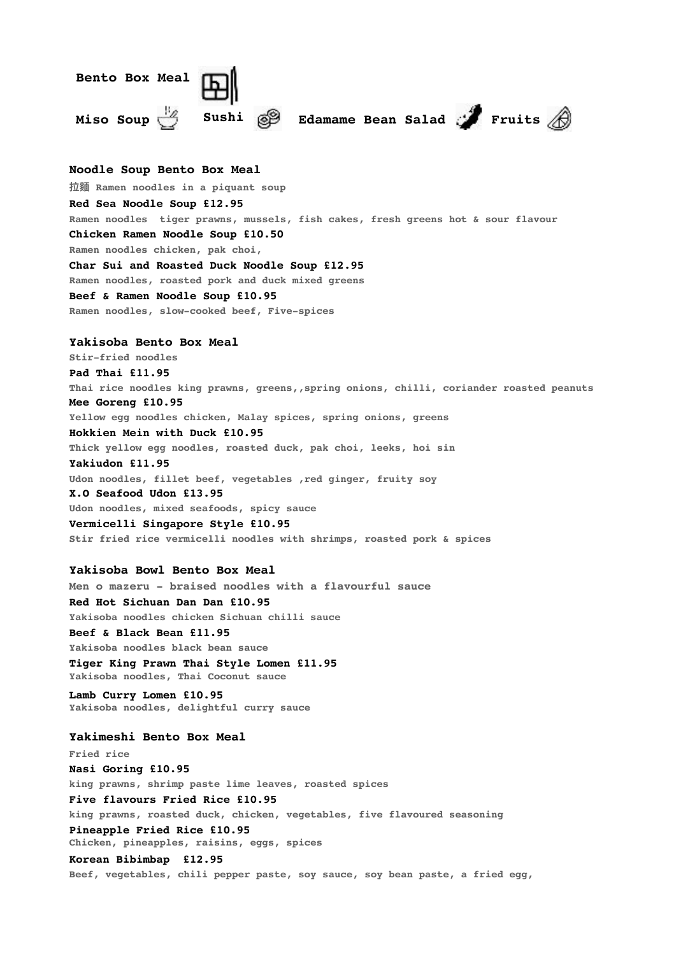

**Chicken, pineapples, raisins, eggs, spices**

**Korean Bibimbap £12.95**

**Beef, vegetables, chili pepper paste, soy sauce, soy bean paste, a fried egg,**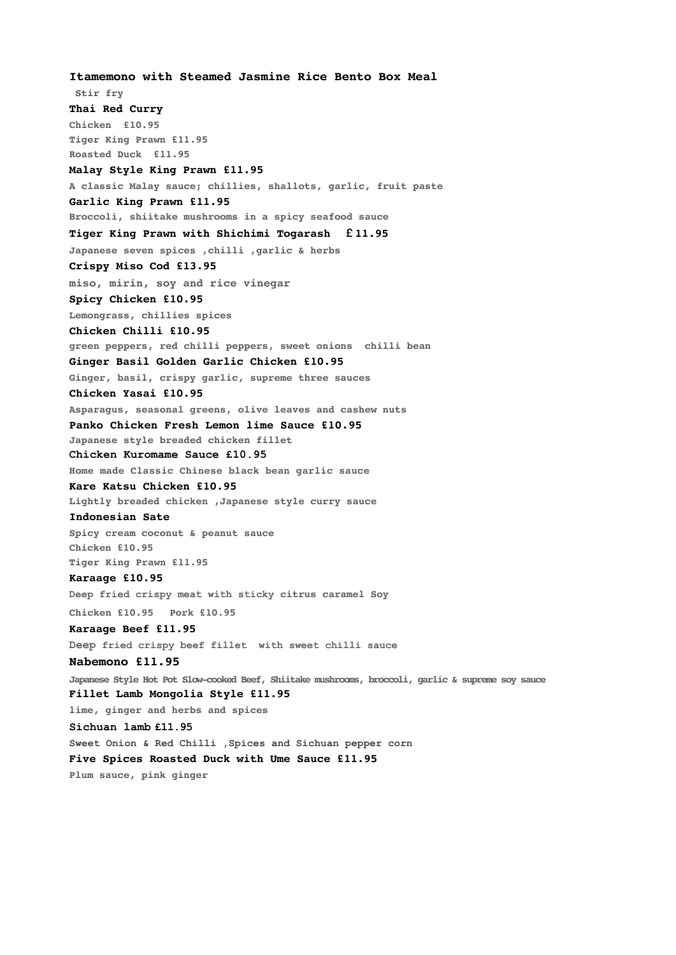**Itamemono with Steamed Jasmine Rice Bento Box Meal Stir fry Thai Red Curry Chicken £10.95 Tiger King Prawn £11.95 Roasted Duck £11.95 Malay Style King Prawn £11.95 A classic Malay sauce; chillies, shallots, garlic, fruit paste Garlic King Prawn £11.95 Broccoli, shiitake mushrooms in a spicy seafood sauce Tiger King Prawn with Shichimi Togarash £11.95 Japanese seven spices ,chilli ,garlic & herbs Crispy Miso Cod £13.95 miso, mirin, soy and rice vinegar Spicy Chicken £10.95 Lemongrass, chillies spices Chicken Chilli £10.95 green peppers, red chilli peppers, sweet onions chilli bean Ginger Basil Golden Garlic Chicken £10.95 Ginger, basil, crispy garlic, supreme three sauces Chicken Yasai £10.95 Asparagus, seasonal greens, olive leaves and cashew nuts Panko Chicken Fresh Lemon lime Sauce £10.95 Japanese style breaded chicken fillet Chicken Kuromame Sauce £10.95 Home made Classic Chinese black bean garlic sauce Kare Katsu Chicken £10.95 Lightly breaded chicken ,Japanese style curry sauce Indonesian Sate Spicy cream coconut & peanut sauce Chicken £10.95 Tiger King Prawn £11.95 Karaage £10.95 Deep fried crispy meat with sticky citrus caramel Soy Chicken £10.95 Pork £10.95 Karaage Beef £11.95 Deep fried crispy beef fillet with sweet chilli sauce Nabemono £11.95 Japanese Style Hot Pot Slow-cooked Beef, Shiitake mushrooms, broccoli, garlic & supreme soy sauce Fillet Lamb Mongolia Style £11.95 lime, ginger and herbs and spices Sichuan lamb £11.95 Sweet Onion & Red Chilli ,Spices and Sichuan pepper corn Five Spices Roasted Duck with Ume Sauce £11.95 Plum sauce, pink ginger**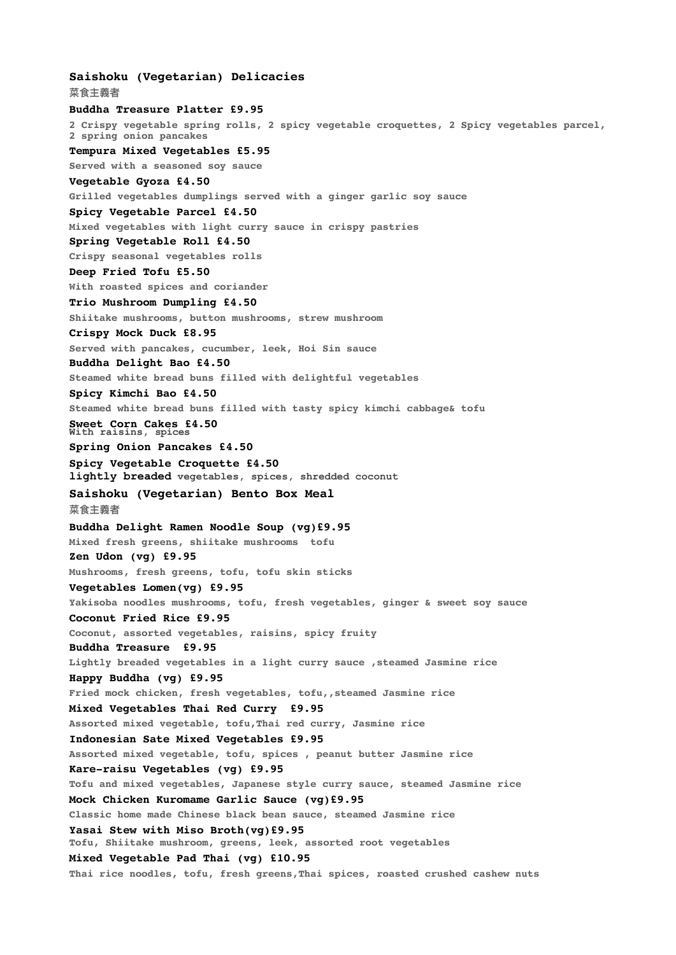**Saishoku (Vegetarian) Delicacies 菜⻝主義者 Buddha Treasure Platter £9.95 2 Crispy vegetable spring rolls, 2 spicy vegetable croquettes, 2 Spicy vegetables parcel, 2 spring onion pancakes Tempura Mixed Vegetables £5.95 Served with a seasoned soy sauce Vegetable Gyoza £4.50 Grilled vegetables dumplings served with a ginger garlic soy sauce Spicy Vegetable Parcel £4.50 Mixed vegetables with light curry sauce in crispy pastries Spring Vegetable Roll £4.50 Crispy seasonal vegetables rolls Deep Fried Tofu £5.50 With roasted spices and coriander Trio Mushroom Dumpling £4.50 Shiitake mushrooms, button mushrooms, strew mushroom Crispy Mock Duck £8.95 Served with pancakes, cucumber, leek, Hoi Sin sauce Buddha Delight Bao £4.50 Steamed white bread buns filled with delightful vegetables Spicy Kimchi Bao £4.50 Steamed white bread buns filled with tasty spicy kimchi cabbage& tofu Sweet Corn Cakes £4.50 With raisins, spices Spring Onion Pancakes £4.50 Spicy Vegetable Croquette £4.50 lightly breaded vegetables, spices, shredded coconut Saishoku (Vegetarian) Bento Box Meal 菜⻝主義者 Buddha Delight Ramen Noodle Soup (vg)£9.95 Mixed fresh greens, shiitake mushrooms tofu Zen Udon (vg) £9.95 Mushrooms, fresh greens, tofu, tofu skin sticks Vegetables Lomen(vg) £9.95 Yakisoba noodles mushrooms, tofu, fresh vegetables, ginger & sweet soy sauce Coconut Fried Rice £9.95 Coconut, assorted vegetables, raisins, spicy fruity Buddha Treasure £9.95 Lightly breaded vegetables in a light curry sauce ,steamed Jasmine rice Happy Buddha (vg) £9.95 Fried mock chicken, fresh vegetables, tofu,,steamed Jasmine rice Mixed Vegetables Thai Red Curry £9.95 Assorted mixed vegetable, tofu,Thai red curry, Jasmine rice Indonesian Sate Mixed Vegetables £9.95 Assorted mixed vegetable, tofu, spices , peanut butter Jasmine rice Kare-raisu Vegetables (vg) £9.95 Tofu and mixed vegetables, Japanese style curry sauce, steamed Jasmine rice Mock Chicken Kuromame Garlic Sauce (vg)£9.95 Classic home made Chinese black bean sauce, steamed Jasmine rice Yasai Stew with Miso Broth(vg)£9.95 Tofu, Shiitake mushroom, greens, leek, assorted root vegetables Mixed Vegetable Pad Thai (vg) £10.95 Thai rice noodles, tofu, fresh greens,Thai spices, roasted crushed cashew nuts**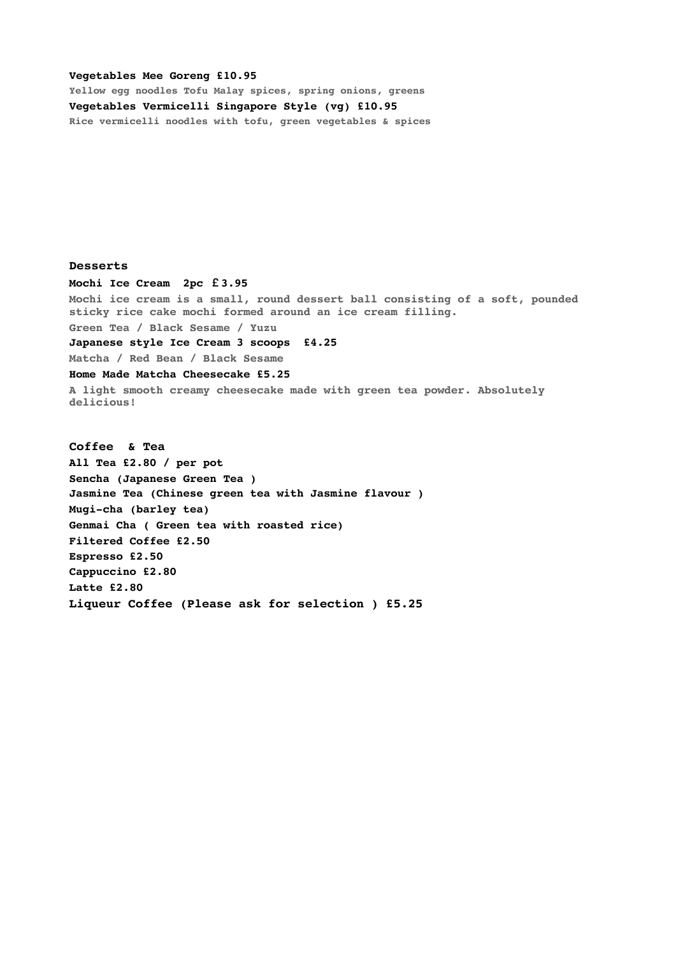#### **Vegetables Mee Goreng £10.95**

**Yellow egg noodles Tofu Malay spices, spring onions, greens Vegetables Vermicelli Singapore Style (vg) £10.95 Rice vermicelli noodles with tofu, green vegetables & spices**

**Desserts** 

**Mochi Ice Cream 2pc £3.95** 

**Mochi ice cream is a small, round dessert ball consisting of a soft, pounded sticky rice cake mochi formed around an ice cream filling. Green Tea / Black Sesame / Yuzu**

**Japanese style Ice Cream 3 scoops £4.25** 

**Matcha / Red Bean / Black Sesame Home Made Matcha Cheesecake £5.25**

**A light smooth creamy cheesecake made with green tea powder. Absolutely delicious!**

**Coffee & Tea All Tea £2.80 / per pot Sencha (Japanese Green Tea ) Jasmine Tea (Chinese green tea with Jasmine flavour ) Mugi-cha (barley tea) Genmai Cha ( Green tea with roasted rice) Filtered Coffee £2.50 Espresso £2.50 Cappuccino £2.80 Latte £2.80 Liqueur Coffee (Please ask for selection ) £5.25**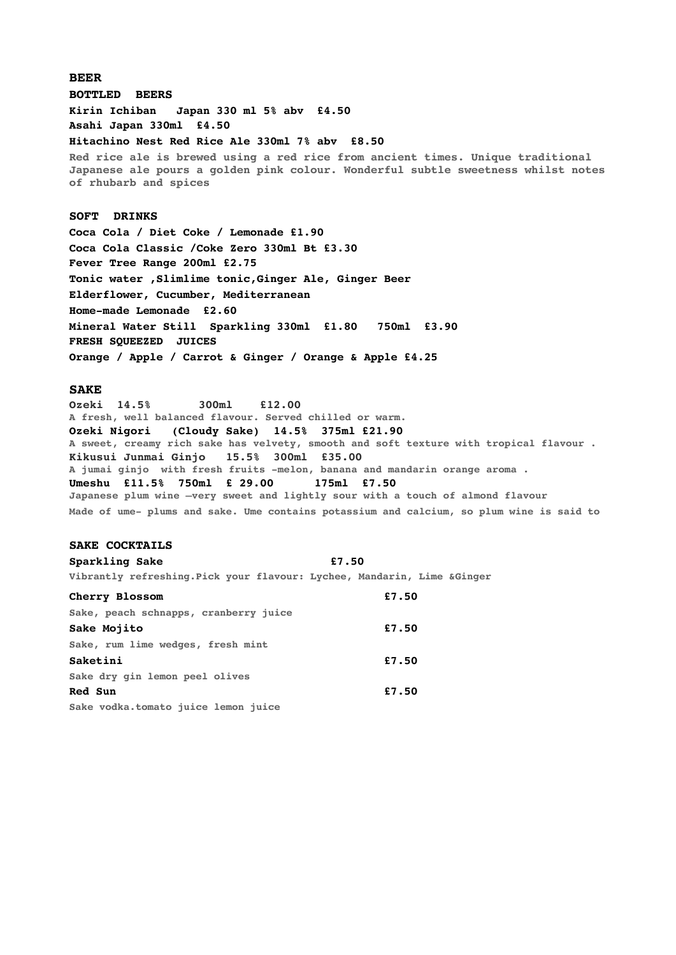### **BEER**

**BOTTLED BEERS**

**Kirin Ichiban Japan 330 ml 5% abv £4.50** 

**Asahi Japan 330ml £4.50**

#### **Hitachino Nest Red Rice Ale 330ml 7% abv £8.50**

**Red rice ale is brewed using a red rice from ancient times. Unique traditional Japanese ale pours a golden pink colour. Wonderful subtle sweetness whilst notes of rhubarb and spices**

## **SOFT DRINKS**

**Coca Cola / Diet Coke / Lemonade £1.90 Coca Cola Classic /Coke Zero 330ml Bt £3.30 Fever Tree Range 200ml £2.75 Tonic water ,Slimlime tonic,Ginger Ale, Ginger Beer Elderflower, Cucumber, Mediterranean Home-made Lemonade £2.60 Mineral Water Still Sparkling 330ml £1.80 750ml £3.90 FRESH SQUEEZED JUICES Orange / Apple / Carrot & Ginger / Orange & Apple £4.25**

#### **SAKE**

**Ozeki 14.5% 300ml £12.00 A fresh, well balanced flavour. Served chilled or warm. Ozeki Nigori (Cloudy Sake) 14.5% 375ml £21.90 A sweet, creamy rich sake has velvety, smooth and soft texture with tropical flavour . Kikusui Junmai Ginjo 15.5% 300ml £35.00 A jumai ginjo with fresh fruits -melon, banana and mandarin orange aroma . Umeshu £11.5% 750ml £ 29.00 175ml £7.50 Japanese plum wine –very sweet and lightly sour with a touch of almond flavour Made of ume- plums and sake. Ume contains potassium and calcium, so plum wine is said to** 

## **SAKE COCKTAILS**

# **Sparkling Sake £7.50**

**Vibrantly refreshing.Pick your flavour: Lychee, Mandarin, Lime &Ginger** 

| Cherry Blossom                        | £7.50 |
|---------------------------------------|-------|
| Sake, peach schnapps, cranberry juice |       |
| Sake Mojito                           | £7.50 |
| Sake, rum lime wedges, fresh mint     |       |
| Saketini                              | £7.50 |
| Sake dry qin lemon peel olives        |       |
| Red Sun                               | £7.50 |
| Sake vodka.tomato juice lemon juice   |       |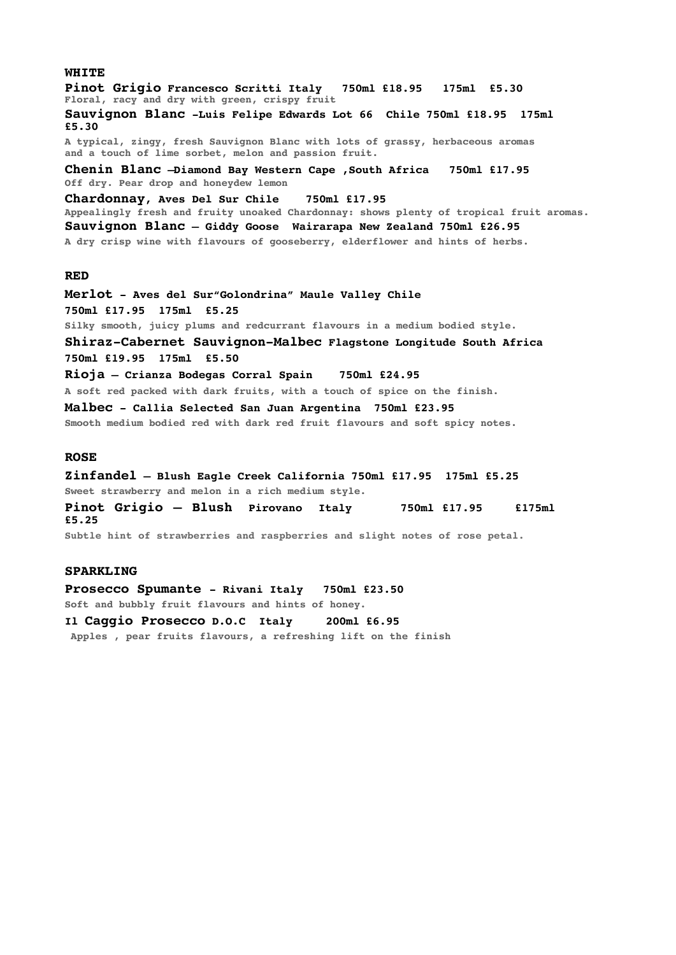**Pinot Grigio Francesco Scritti Italy 750ml £18.95 175ml £5.30 Floral, racy and dry with green, crispy fruit Sauvignon Blanc -Luis Felipe Edwards Lot 66 Chile 750ml £18.95 175ml £5.30 A typical, zingy, fresh Sauvignon Blanc with lots of grassy, herbaceous aromas and a touch of lime sorbet, melon and passion fruit. Chenin Blanc –Diamond Bay Western Cape ,South Africa 750ml £17.95 Off dry. Pear drop and honeydew lemon Chardonnay, Aves Del Sur Chile 750ml £17.95 Appealingly fresh and fruity unoaked Chardonnay: shows plenty of tropical fruit aromas. Sauvignon Blanc – Giddy Goose Wairarapa New Zealand 750ml £26.95 A dry crisp wine with flavours of gooseberry, elderflower and hints of herbs. RED Merlot - Aves del Sur"Golondrina" Maule Valley Chile 750ml £17.95 175ml £5.25 Silky smooth, juicy plums and redcurrant flavours in a medium bodied style. Shiraz-Cabernet Sauvignon-Malbec Flagstone Longitude South Africa 750ml £19.95 175ml £5.50 Rioja – Crianza Bodegas Corral Spain 750ml £24.95 A soft red packed with dark fruits, with a touch of spice on the finish. Malbec - Callia Selected San Juan Argentina 750ml £23.95 Smooth medium bodied red with dark red fruit flavours and soft spicy notes. ROSE Zinfandel – Blush Eagle Creek California 750ml £17.95 175ml £5.25**

**Sweet strawberry and melon in a rich medium style.**

**Pinot Grigio – Blush Pirovano Italy 750ml £17.95 £175ml £5.25**

**Subtle hint of strawberries and raspberries and slight notes of rose petal.**

## **SPARKLING**

**Prosecco Spumante - Rivani Italy 750ml £23.50 Soft and bubbly fruit flavours and hints of honey.**

**Il Caggio Prosecco D.O.C Italy 200ml £6.95 Apples , pear fruits flavours, a refreshing lift on the finish**

**WHITE**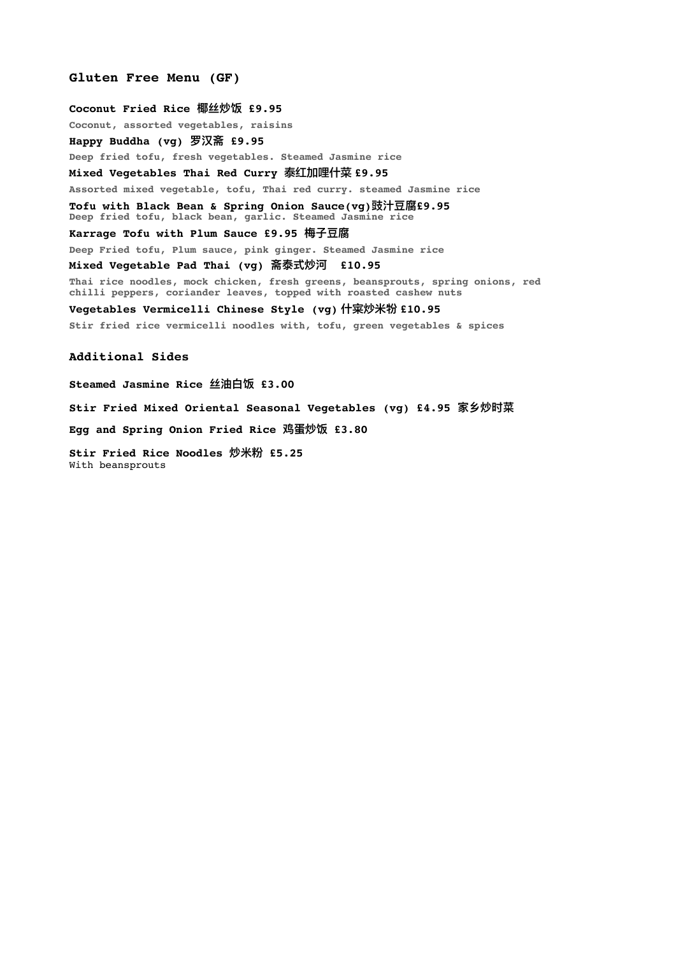## **Gluten Free Menu (GF)**

**Coconut Fried Rice 椰丝炒饭 £9.95**

**Coconut, assorted vegetables, raisins**

**Happy Buddha (vg) 罗汉斋 £9.95**

**Deep fried tofu, fresh vegetables. Steamed Jasmine rice**

**Mixed Vegetables Thai Red Curry** 泰红加哩什菜 **£9.95**

**Assorted mixed vegetable, tofu, Thai red curry. steamed Jasmine rice**

**Tofu with Black Bean & Spring Onion Sauce(vg)豉汁⾖腐£9.95 Deep fried tofu, black bean, garlic. Steamed Jasmine rice**

#### **Karrage Tofu with Plum Sauce £9.95 梅⼦⾖腐**

**Deep Fried tofu, Plum sauce, pink ginger. Steamed Jasmine rice**

**Mixed Vegetable Pad Thai (vg) 斋泰式炒河 £10.95**

**Thai rice noodles, mock chicken, fresh greens, beansprouts, spring onions, red chilli peppers, coriander leaves, topped with roasted cashew nuts** 

**Vegetables Vermicelli Chinese Style (vg)** 什宷炒米**㸮 £10.95**

**Stir fried rice vermicelli noodles with, tofu, green vegetables & spices**

#### **Additional Sides**

**Steamed Jasmine Rice 丝油⽩饭 £3.00**

**Stir Fried Mixed Oriental Seasonal Vegetables (vg) £4.95 家乡炒时菜**

**Egg and Spring Onion Fried Rice 鸡蛋炒饭 £3.80**

**Stir Fried Rice Noodles 炒⽶粉 £5.25** With beansprouts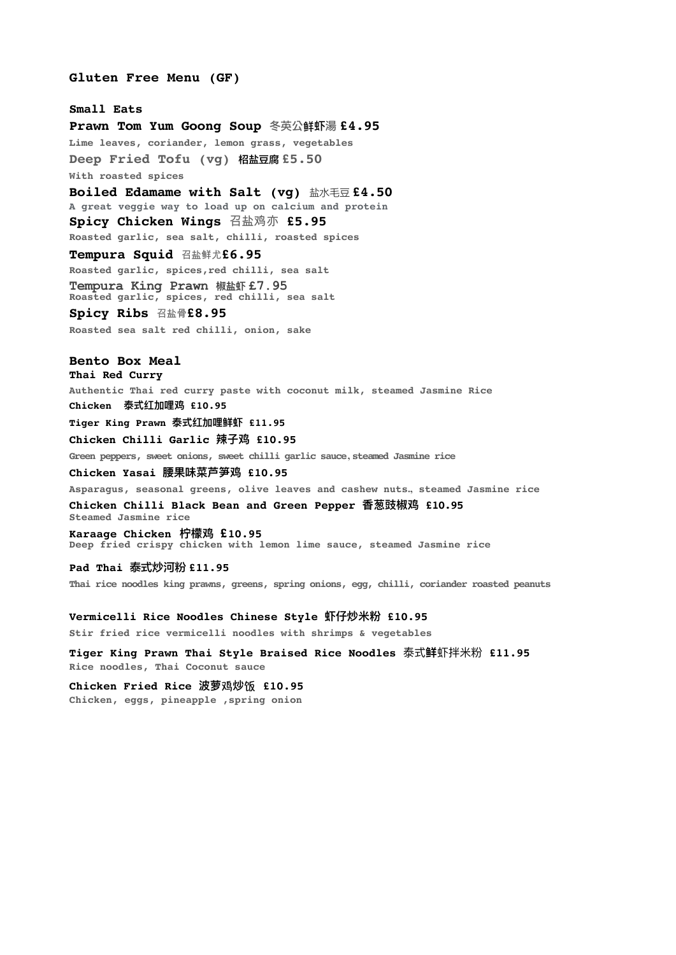#### **Gluten Free Menu (GF)**

**Small Eats**

**Prawn Tom Yum Goong Soup** 冬英公潽虾湯 **£4.95 Lime leaves, coriander, lemon grass, vegetables Deep Fried Tofu (vg)** 柖盐豆腐 **£5.50 With roasted spices Boiled Edamame with Salt (vg)** 盐水毛豆 **£4.50 A great veggie way to load up on calcium and protein Spicy Chicken Wings** 召盐鸡亦 **£5.95 Roasted garlic, sea salt, chilli, roasted spices Tempura Squid** 召盐鲜尤**£6.95 Roasted garlic, spices,red chilli, sea salt Tempura King Prawn 椒盐虾 £7.95 Roasted garlic, spices, red chilli, sea salt Spicy Ribs** 召盐骨**£8.95 Roasted sea salt red chilli, onion, sake**

# **Bento Box Meal**

**Thai Red Curry Authentic Thai red curry paste with coconut milk, steamed Jasmine Rice Chicken 泰式红加哩鸡 £10.95 Tiger King Prawn 泰式红加哩鲜虾 £11.95**

**Chicken Chilli Garlic 辣⼦鸡 £10.95** 

**Green peppers, sweet onions, sweet chilli garlic sauce , steamed Jasmine rice**

**Chicken Yasai 腰果味菜芦笋鸡 £10.95** 

**Asparagus, seasonal greens, olive leaves and cashew nuts., steamed Jasmine rice**

**Chicken Chilli Black Bean and Green Pepper ⾹葱豉椒鸡 £10.95 Steamed Jasmine rice**

**Karaage Chicken 柠檬鸡 £10.95 Deep fried crispy chicken with lemon lime sauce, steamed Jasmine rice**

## **Pad Thai** 泰式炒河粉 **£11.95**

**Thai rice noodles king prawns, greens, spring onions, egg, chilli, coriander roasted peanuts**

#### **Vermicelli Rice Noodles Chinese Style 虾仔炒⽶粉 £10.95**

**Stir fried rice vermicelli noodles with shrimps & vegetables** 

**Tiger King Prawn Thai Style Braised Rice Noodles** 泰式**鲜**虾拌⽶粉 **£11.95 Rice noodles, Thai Coconut sauce**

Chicken Fried Rice 波萝鸡炒饭 £10.95 **Chicken, eggs, pineapple ,spring onion**